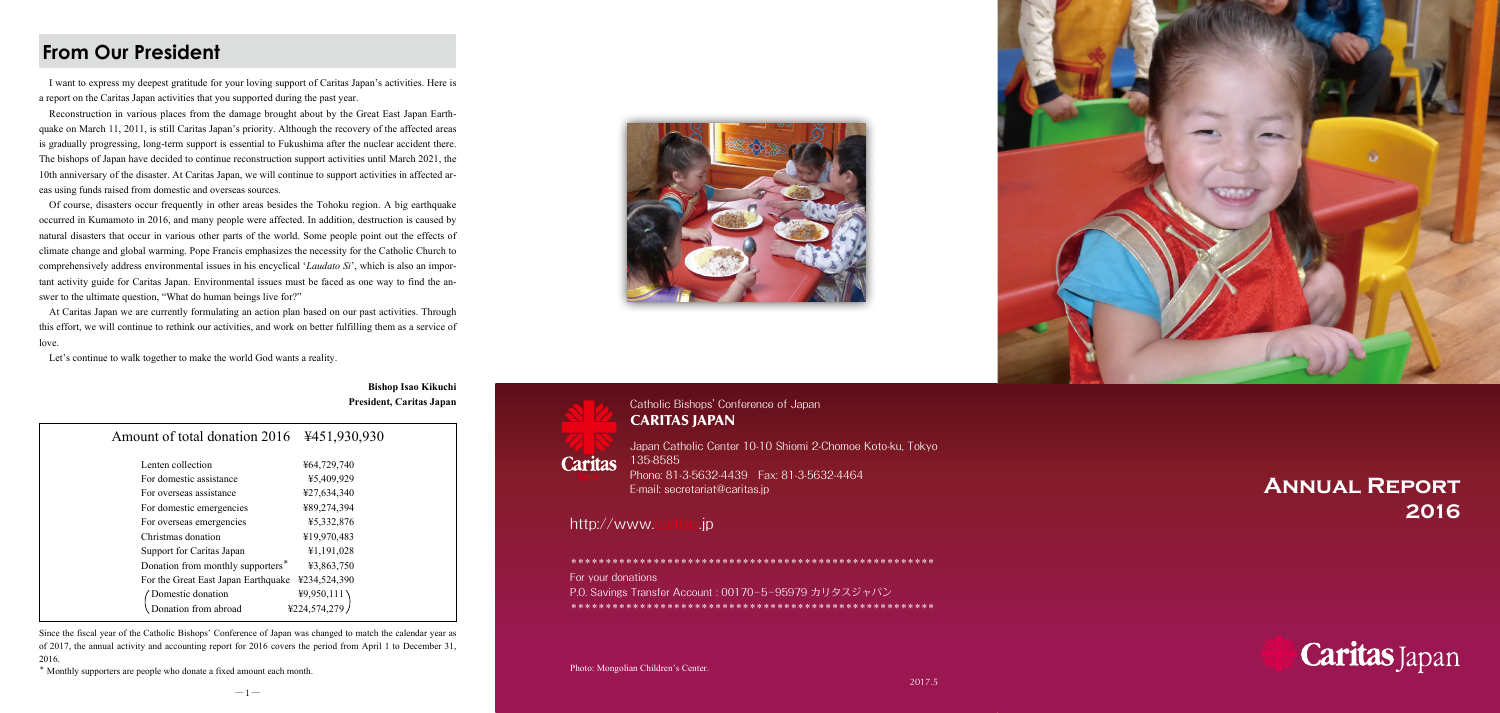## Catholic Bishops' Conference of Japan CARITAS JAPAN

Japan Catholic Center 10-10 Shiomi 2-Chomoe Koto-ku, Tokyo 135-8585 Phone: 81-3-5632-4439 Fax: 81-3-5632-4464 E-mail: secretariat@caritas.jp

http://www.caritas.jp

I want to express my deepest gratitude for your loving support of Caritas Japan's activities. Here is a report on the Caritas Japan activities that you supported during the past year.

Reconstruction in various places from the damage brought about by the Great East Japan Earthquake on March 11, 2011, is still Caritas Japan's priority. Although the recovery of the affected areas is gradually progressing, long-term support is essential to Fukushima after the nuclear accident there. The bishops of Japan have decided to continue reconstruction support activities until March 2021, the 10th anniversary of the disaster. At Caritas Japan, we will continue to support activities in affected areas using funds raised from domestic and overseas sources.

Of course, disasters occur frequently in other areas besides the Tohoku region. A big earthquake occurred in Kumamoto in 2016, and many people were affected. In addition, destruction is caused by natural disasters that occur in various other parts of the world. Some people point out the effects of climate change and global warming. Pope Francis emphasizes the necessity for the Catholic Church to comprehensively address environmental issues in his encyclical '*Laudato Si*', which is also an important activity guide for Caritas Japan. Environmental issues must be faced as one way to find the answer to the ultimate question, "What do human beings live for?"

At Caritas Japan we are currently formulating an action plan based on our past activities. Through this effort, we will continue to rethink our activities, and work on better fulfilling them as a service of love.

Let's continue to walk together to make the world God wants a reality.

**Bishop Isao Kikuchi President, Caritas Japan**



**Caritas** 

| Amount of total donation 2016                 | ¥451,930,930 |
|-----------------------------------------------|--------------|
| Lenten collection                             | ¥64,729,740  |
| For domestic assistance                       | ¥5,409,929   |
| For overseas assistance                       | ¥27,634,340  |
| For domestic emergencies                      | ¥89,274,394  |
| For overseas emergencies                      | ¥5,332,876   |
| Christmas donation                            | ¥19,970,483  |
| Support for Caritas Japan                     | ¥1,191,028   |
| Donation from monthly supporters <sup>*</sup> | ¥3,863,750   |
| For the Great East Japan Earthquake           | ¥234,524,390 |
| Domestic donation                             | 49,950,111   |
| Donation from abroad                          | ¥224.574.279 |
|                                               |              |

Since the fiscal year of the Catholic Bishops' Conference of Japan was changed to match the calendar year as of 2017, the annual activity and accounting report for 2016 covers the period from April 1 to December 31, 2016.

\* Monthly supporters are people who donate a fixed amount each month.





\*\*\*\*\*\*\*\*\*\*\*\*\*\*\*\*\*\*\*\*\*\*\*\*\*\*\*\*\*\*\*\*\*\*\*\*\*\*\*\*\*\*\*\*\*\*\*\*\*\*\*\*\* For your donations P.O. Savings Transfer Account : 00170─ 5─ 95979 カリタスジャパン \*\*\*\*\*\*\*\*\*\*\*\*\*\*\*\*\*\*\*\*\*\*\*\*\*\*\*\*\*\*\*\*\*\*\*\*\*\*\*\*\*\*\*\*\*\*\*\*\*\*\*\*\*

Photo: Mongolian Children's Center.



# **Annual Report 2016**



## **From Our President**